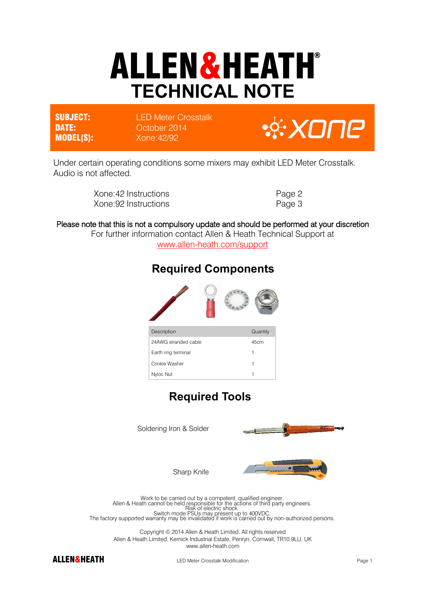# ALLEN&HEATH® **TECHNICAL NOTE**

**SUBJECT:** LED Meter Crosstalk DATE: **DATE:** October 2014 MODEL(S): Xone:42/92

**& XONE** 

Under certain operating conditions some mixers may exhibit LED Meter Crosstalk. Audio is not affected.

| Xone: 42 Instructions | Page 2 |
|-----------------------|--------|
| Xone: 92 Instructions | Page 3 |

#### Please note that this is not a compulsory update and should be performed at your discretion

For further information contact Allen & Heath Technical Support at [www.allen-heath.com/support](http://www.allen-heath.com/support)



**Required Components** 

#### **Required Tools**



Copyright © 2014 Allen & Heath Limited. All rights reserved Allen & Heath Limited, Kernick Industrial Estate, Penryn, Cornwall, TR10 9LU, UK www.allen-heath.com



ALLEN&HEATH LED Meter Crosstalk Modification **Example 2018** Page 1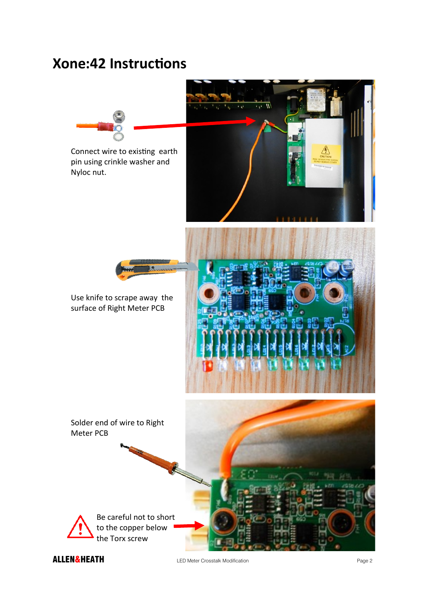## **Xone:42 Instructions**



ALLEN&HEATH LED Meter Crosstalk Modification **Canadian Page 2** Page 2